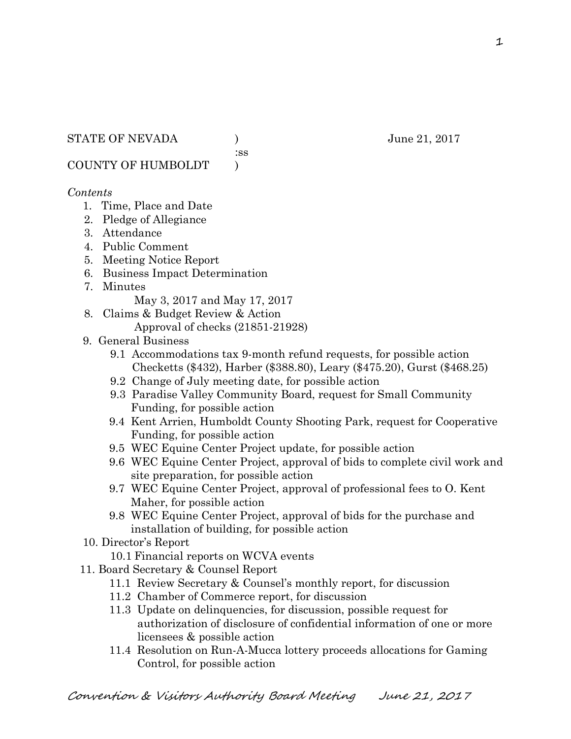:ss

COUNTY OF HUMBOLDT )

# *Contents*

- 1. Time, Place and Date
- 2. Pledge of Allegiance
- 3. Attendance
- 4. Public Comment
- 5. Meeting Notice Report
- 6. Business Impact Determination
- 7. Minutes

May 3, 2017 and May 17, 2017

- 8. Claims & Budget Review & Action
	- Approval of checks (21851-21928)
- 9. General Business
	- 9.1 Accommodations tax 9-month refund requests, for possible action Checketts (\$432), Harber (\$388.80), Leary (\$475.20), Gurst (\$468.25)
	- 9.2 Change of July meeting date, for possible action
	- 9.3 Paradise Valley Community Board, request for Small Community Funding, for possible action
	- 9.4 Kent Arrien, Humboldt County Shooting Park, request for Cooperative Funding, for possible action
	- 9.5 WEC Equine Center Project update, for possible action
	- 9.6 WEC Equine Center Project, approval of bids to complete civil work and site preparation, for possible action
	- 9.7 WEC Equine Center Project, approval of professional fees to O. Kent Maher, for possible action
	- 9.8 WEC Equine Center Project, approval of bids for the purchase and installation of building, for possible action
- 10. Director's Report
	- 10.1 Financial reports on WCVA events
- 11. Board Secretary & Counsel Report
	- 11.1 Review Secretary & Counsel's monthly report, for discussion
	- 11.2 Chamber of Commerce report, for discussion
	- 11.3 Update on delinquencies, for discussion, possible request for authorization of disclosure of confidential information of one or more licensees & possible action
	- 11.4 Resolution on Run-A-Mucca lottery proceeds allocations for Gaming Control, for possible action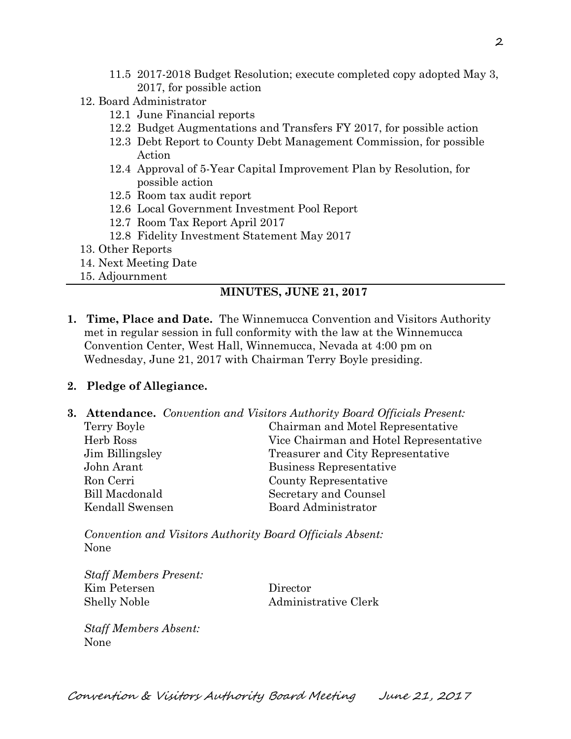- 11.5 2017-2018 Budget Resolution; execute completed copy adopted May 3, 2017, for possible action
- 12. Board Administrator
	- 12.1 June Financial reports
	- 12.2 Budget Augmentations and Transfers FY 2017, for possible action
	- 12.3 Debt Report to County Debt Management Commission, for possible Action
	- 12.4 Approval of 5-Year Capital Improvement Plan by Resolution, for possible action
	- 12.5 Room tax audit report
	- 12.6 Local Government Investment Pool Report
	- 12.7 Room Tax Report April 2017
	- 12.8 Fidelity Investment Statement May 2017
- 13. Other Reports
- 14. Next Meeting Date
- 15. Adjournment

### **MINUTES, JUNE 21, 2017**

**1. Time, Place and Date.** The Winnemucca Convention and Visitors Authority met in regular session in full conformity with the law at the Winnemucca Convention Center, West Hall, Winnemucca, Nevada at 4:00 pm on Wednesday, June 21, 2017 with Chairman Terry Boyle presiding.

### **2. Pledge of Allegiance.**

**3. Attendance.** *Convention and Visitors Authority Board Officials Present:*  Terry Boyle Chairman and Motel Representative Herb Ross Vice Chairman and Hotel Representative Jim Billingsley Treasurer and City Representative John Arant Business Representative Ron Cerri County Representative Bill Macdonald Secretary and Counsel Kendall Swensen Board Administrator

*Convention and Visitors Authority Board Officials Absent:*  None

| <b>Staff Members Present:</b> |                      |
|-------------------------------|----------------------|
| Kim Petersen                  | Director             |
| Shelly Noble                  | Administrative Clerk |

*Staff Members Absent:*  None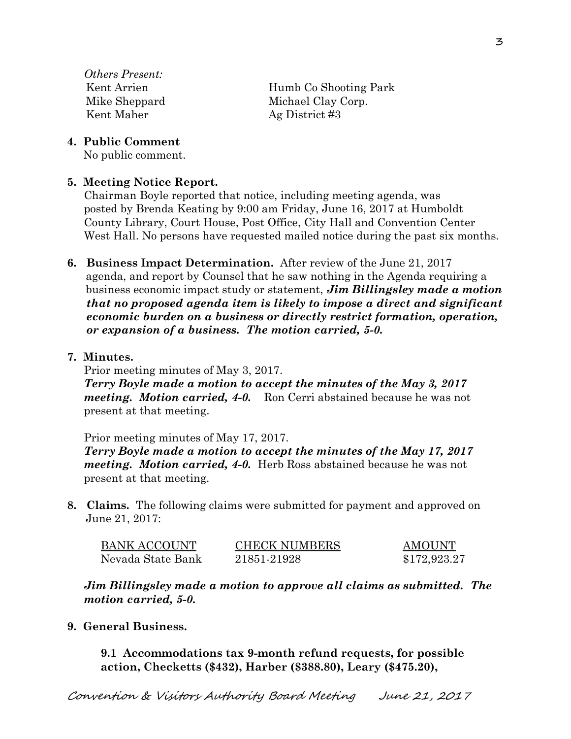*Others Present:*  Kent Maher Ag District #3

Kent Arrien Humb Co Shooting Park Mike Sheppard Michael Clay Corp.

**4. Public Comment** 

No public comment.

# **5. Meeting Notice Report.**

Chairman Boyle reported that notice, including meeting agenda, was posted by Brenda Keating by 9:00 am Friday, June 16, 2017 at Humboldt County Library, Court House, Post Office, City Hall and Convention Center West Hall. No persons have requested mailed notice during the past six months.

- **6. Business Impact Determination.** After review of the June 21, 2017 agenda, and report by Counsel that he saw nothing in the Agenda requiring a business economic impact study or statement, *Jim Billingsley made a motion that no proposed agenda item is likely to impose a direct and significant economic burden on a business or directly restrict formation, operation, or expansion of a business. The motion carried, 5-0.*
- **7. Minutes.**

Prior meeting minutes of May 3, 2017. *Terry Boyle made a motion to accept the minutes of the May 3, 2017 meeting. Motion carried, 4-0.* Ron Cerri abstained because he was not present at that meeting.

Prior meeting minutes of May 17, 2017. *Terry Boyle made a motion to accept the minutes of the May 17, 2017 meeting. Motion carried, 4-0.* Herb Ross abstained because he was not present at that meeting.

**8. Claims.** The following claims were submitted for payment and approved on June 21, 2017:

| <b>BANK ACCOUNT</b> | <b>CHECK NUMBERS</b> | AMOUNT       |
|---------------------|----------------------|--------------|
| Nevada State Bank   | 21851-21928          | \$172,923.27 |

*Jim Billingsley made a motion to approve all claims as submitted. The motion carried, 5-0.* 

**9. General Business.** 

**9.1 Accommodations tax 9-month refund requests, for possible action, Checketts (\$432), Harber (\$388.80), Leary (\$475.20),**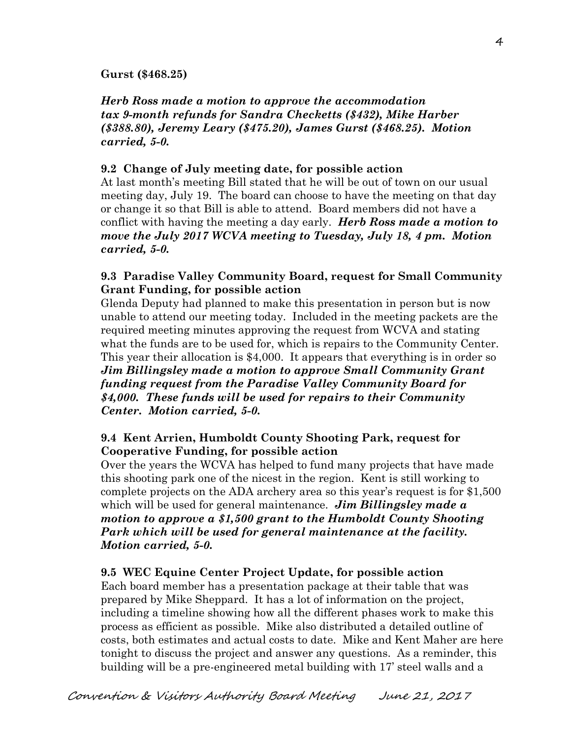#### **Gurst (\$468.25)**

*Herb Ross made a motion to approve the accommodation tax 9-month refunds for Sandra Checketts (\$432), Mike Harber (\$388.80), Jeremy Leary (\$475.20), James Gurst (\$468.25). Motion carried, 5-0.* 

#### **9.2 Change of July meeting date, for possible action**

At last month's meeting Bill stated that he will be out of town on our usual meeting day, July 19. The board can choose to have the meeting on that day or change it so that Bill is able to attend. Board members did not have a conflict with having the meeting a day early. *Herb Ross made a motion to move the July 2017 WCVA meeting to Tuesday, July 18, 4 pm. Motion carried, 5-0.* 

## **9.3 Paradise Valley Community Board, request for Small Community Grant Funding, for possible action**

Glenda Deputy had planned to make this presentation in person but is now unable to attend our meeting today. Included in the meeting packets are the required meeting minutes approving the request from WCVA and stating what the funds are to be used for, which is repairs to the Community Center. This year their allocation is \$4,000. It appears that everything is in order so *Jim Billingsley made a motion to approve Small Community Grant funding request from the Paradise Valley Community Board for \$4,000. These funds will be used for repairs to their Community Center. Motion carried, 5-0.* 

# **9.4 Kent Arrien, Humboldt County Shooting Park, request for Cooperative Funding, for possible action**

Over the years the WCVA has helped to fund many projects that have made this shooting park one of the nicest in the region. Kent is still working to complete projects on the ADA archery area so this year's request is for \$1,500 which will be used for general maintenance. *Jim Billingsley made a motion to approve a \$1,500 grant to the Humboldt County Shooting Park which will be used for general maintenance at the facility. Motion carried, 5-0.* 

### **9.5 WEC Equine Center Project Update, for possible action**

Each board member has a presentation package at their table that was prepared by Mike Sheppard. It has a lot of information on the project, including a timeline showing how all the different phases work to make this process as efficient as possible. Mike also distributed a detailed outline of costs, both estimates and actual costs to date. Mike and Kent Maher are here tonight to discuss the project and answer any questions. As a reminder, this building will be a pre-engineered metal building with 17' steel walls and a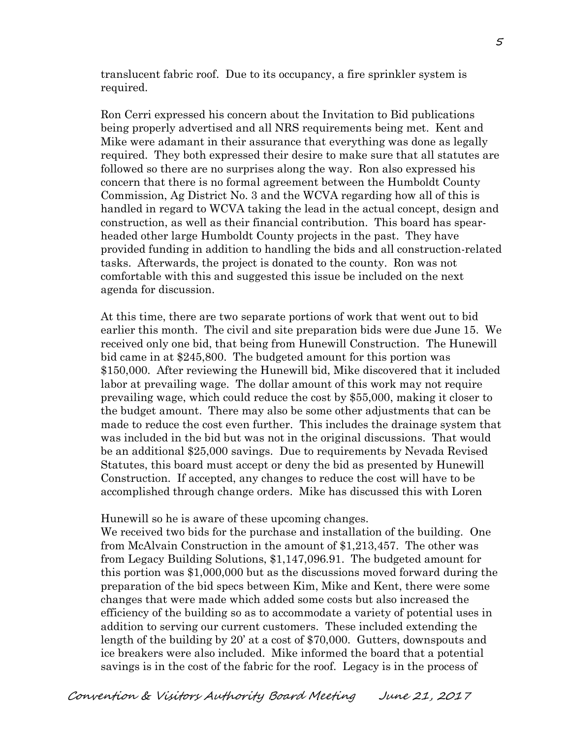translucent fabric roof. Due to its occupancy, a fire sprinkler system is required.

Ron Cerri expressed his concern about the Invitation to Bid publications being properly advertised and all NRS requirements being met. Kent and Mike were adamant in their assurance that everything was done as legally required. They both expressed their desire to make sure that all statutes are followed so there are no surprises along the way. Ron also expressed his concern that there is no formal agreement between the Humboldt County Commission, Ag District No. 3 and the WCVA regarding how all of this is handled in regard to WCVA taking the lead in the actual concept, design and construction, as well as their financial contribution. This board has spearheaded other large Humboldt County projects in the past. They have provided funding in addition to handling the bids and all construction-related tasks. Afterwards, the project is donated to the county. Ron was not comfortable with this and suggested this issue be included on the next agenda for discussion.

At this time, there are two separate portions of work that went out to bid earlier this month. The civil and site preparation bids were due June 15. We received only one bid, that being from Hunewill Construction. The Hunewill bid came in at \$245,800. The budgeted amount for this portion was \$150,000. After reviewing the Hunewill bid, Mike discovered that it included labor at prevailing wage. The dollar amount of this work may not require prevailing wage, which could reduce the cost by \$55,000, making it closer to the budget amount. There may also be some other adjustments that can be made to reduce the cost even further. This includes the drainage system that was included in the bid but was not in the original discussions. That would be an additional \$25,000 savings. Due to requirements by Nevada Revised Statutes, this board must accept or deny the bid as presented by Hunewill Construction. If accepted, any changes to reduce the cost will have to be accomplished through change orders. Mike has discussed this with Loren

Hunewill so he is aware of these upcoming changes.

We received two bids for the purchase and installation of the building. One from McAlvain Construction in the amount of \$1,213,457. The other was from Legacy Building Solutions, \$1,147,096.91. The budgeted amount for this portion was \$1,000,000 but as the discussions moved forward during the preparation of the bid specs between Kim, Mike and Kent, there were some changes that were made which added some costs but also increased the efficiency of the building so as to accommodate a variety of potential uses in addition to serving our current customers. These included extending the length of the building by 20' at a cost of \$70,000. Gutters, downspouts and ice breakers were also included. Mike informed the board that a potential savings is in the cost of the fabric for the roof. Legacy is in the process of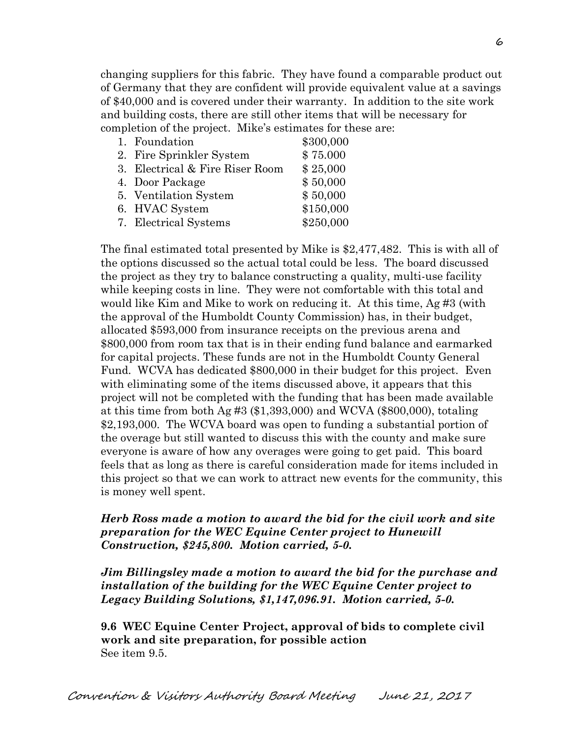changing suppliers for this fabric. They have found a comparable product out of Germany that they are confident will provide equivalent value at a savings of \$40,000 and is covered under their warranty. In addition to the site work and building costs, there are still other items that will be necessary for completion of the project. Mike's estimates for these are:

| 1. Foundation                   | \$300,000 |
|---------------------------------|-----------|
| 2. Fire Sprinkler System        | \$75.000  |
| 3. Electrical & Fire Riser Room | \$25,000  |
| 4. Door Package                 | \$50,000  |
| 5. Ventilation System           | \$50,000  |
| 6. HVAC System                  | \$150,000 |
| 7. Electrical Systems           | \$250,000 |

The final estimated total presented by Mike is \$2,477,482. This is with all of the options discussed so the actual total could be less. The board discussed the project as they try to balance constructing a quality, multi-use facility while keeping costs in line. They were not comfortable with this total and would like Kim and Mike to work on reducing it. At this time, Ag #3 (with the approval of the Humboldt County Commission) has, in their budget, allocated \$593,000 from insurance receipts on the previous arena and \$800,000 from room tax that is in their ending fund balance and earmarked for capital projects. These funds are not in the Humboldt County General Fund. WCVA has dedicated \$800,000 in their budget for this project. Even with eliminating some of the items discussed above, it appears that this project will not be completed with the funding that has been made available at this time from both Ag  $#3$  (\$1,393,000) and WCVA (\$800,000), totaling \$2,193,000. The WCVA board was open to funding a substantial portion of the overage but still wanted to discuss this with the county and make sure everyone is aware of how any overages were going to get paid. This board feels that as long as there is careful consideration made for items included in this project so that we can work to attract new events for the community, this is money well spent.

### *Herb Ross made a motion to award the bid for the civil work and site preparation for the WEC Equine Center project to Hunewill Construction, \$245,800. Motion carried, 5-0.*

*Jim Billingsley made a motion to award the bid for the purchase and installation of the building for the WEC Equine Center project to Legacy Building Solutions, \$1,147,096.91. Motion carried, 5-0.*

**9.6 WEC Equine Center Project, approval of bids to complete civil work and site preparation, for possible action**  See item 9.5.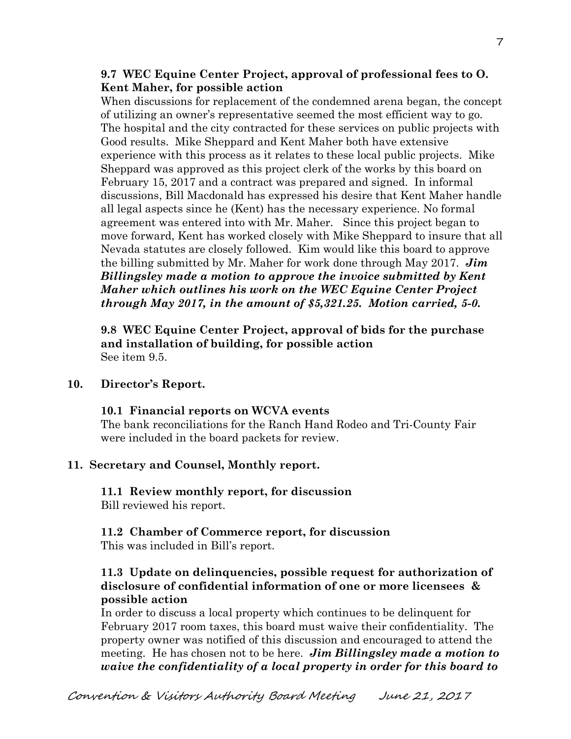## **9.7 WEC Equine Center Project, approval of professional fees to O. Kent Maher, for possible action**

When discussions for replacement of the condemned arena began, the concept of utilizing an owner's representative seemed the most efficient way to go. The hospital and the city contracted for these services on public projects with Good results. Mike Sheppard and Kent Maher both have extensive experience with this process as it relates to these local public projects. Mike Sheppard was approved as this project clerk of the works by this board on February 15, 2017 and a contract was prepared and signed. In informal discussions, Bill Macdonald has expressed his desire that Kent Maher handle all legal aspects since he (Kent) has the necessary experience. No formal agreement was entered into with Mr. Maher. Since this project began to move forward, Kent has worked closely with Mike Sheppard to insure that all Nevada statutes are closely followed. Kim would like this board to approve the billing submitted by Mr. Maher for work done through May 2017. *Jim Billingsley made a motion to approve the invoice submitted by Kent Maher which outlines his work on the WEC Equine Center Project through May 2017, in the amount of \$5,321.25. Motion carried, 5-0.*

**9.8 WEC Equine Center Project, approval of bids for the purchase and installation of building, for possible action**  See item 9.5.

### **10. Director's Report.**

**10.1 Financial reports on WCVA events**  The bank reconciliations for the Ranch Hand Rodeo and Tri-County Fair were included in the board packets for review.

# **11. Secretary and Counsel, Monthly report.**

**11.1 Review monthly report, for discussion**  Bill reviewed his report.

#### **11.2 Chamber of Commerce report, for discussion**  This was included in Bill's report.

# **11.3 Update on delinquencies, possible request for authorization of disclosure of confidential information of one or more licensees & possible action**

In order to discuss a local property which continues to be delinquent for February 2017 room taxes, this board must waive their confidentiality. The property owner was notified of this discussion and encouraged to attend the meeting. He has chosen not to be here. *Jim Billingsley made a motion to waive the confidentiality of a local property in order for this board to*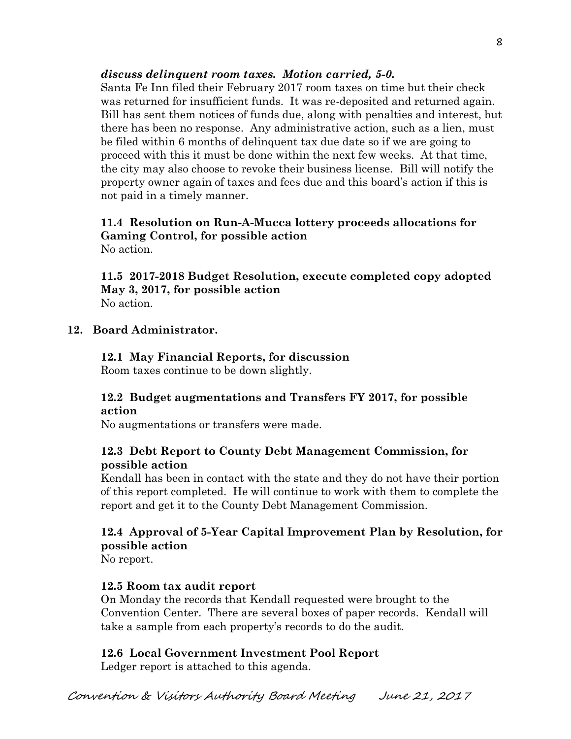# *discuss delinquent room taxes. Motion carried, 5-0.*

Santa Fe Inn filed their February 2017 room taxes on time but their check was returned for insufficient funds. It was re-deposited and returned again. Bill has sent them notices of funds due, along with penalties and interest, but there has been no response. Any administrative action, such as a lien, must be filed within 6 months of delinquent tax due date so if we are going to proceed with this it must be done within the next few weeks. At that time, the city may also choose to revoke their business license. Bill will notify the property owner again of taxes and fees due and this board's action if this is not paid in a timely manner.

### **11.4 Resolution on Run-A-Mucca lottery proceeds allocations for Gaming Control, for possible action**  No action.

**11.5 2017-2018 Budget Resolution, execute completed copy adopted May 3, 2017, for possible action**  No action.

### **12. Board Administrator.**

**12.1 May Financial Reports, for discussion**  Room taxes continue to be down slightly.

### **12.2 Budget augmentations and Transfers FY 2017, for possible action**

No augmentations or transfers were made.

# **12.3 Debt Report to County Debt Management Commission, for possible action**

Kendall has been in contact with the state and they do not have their portion of this report completed. He will continue to work with them to complete the report and get it to the County Debt Management Commission.

# **12.4 Approval of 5-Year Capital Improvement Plan by Resolution, for possible action**

No report.

### **12.5 Room tax audit report**

On Monday the records that Kendall requested were brought to the Convention Center. There are several boxes of paper records. Kendall will take a sample from each property's records to do the audit.

### **12.6 Local Government Investment Pool Report**

Ledger report is attached to this agenda.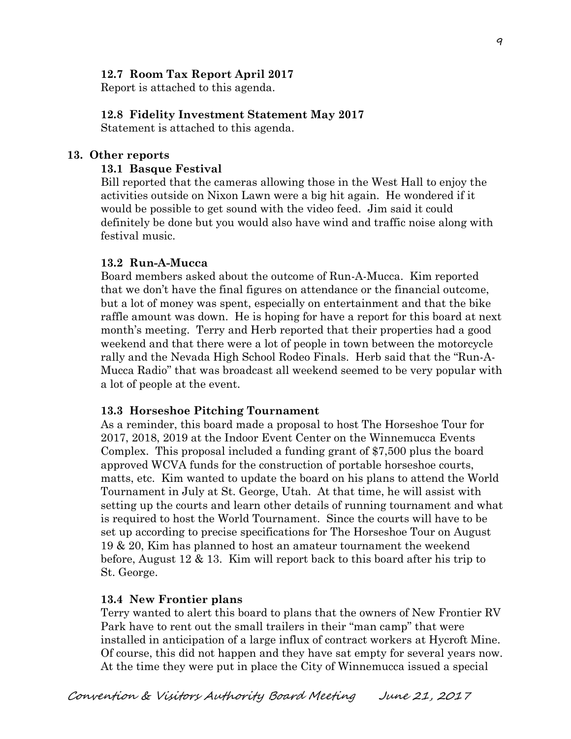### **12.7 Room Tax Report April 2017**

Report is attached to this agenda.

#### **12.8 Fidelity Investment Statement May 2017**

Statement is attached to this agenda.

#### **13. Other reports**

#### **13.1 Basque Festival**

Bill reported that the cameras allowing those in the West Hall to enjoy the activities outside on Nixon Lawn were a big hit again. He wondered if it would be possible to get sound with the video feed. Jim said it could definitely be done but you would also have wind and traffic noise along with festival music.

#### **13.2 Run-A-Mucca**

 Board members asked about the outcome of Run-A-Mucca. Kim reported that we don't have the final figures on attendance or the financial outcome, but a lot of money was spent, especially on entertainment and that the bike raffle amount was down. He is hoping for have a report for this board at next month's meeting. Terry and Herb reported that their properties had a good weekend and that there were a lot of people in town between the motorcycle rally and the Nevada High School Rodeo Finals. Herb said that the "Run-A-Mucca Radio" that was broadcast all weekend seemed to be very popular with a lot of people at the event.

#### **13.3 Horseshoe Pitching Tournament**

As a reminder, this board made a proposal to host The Horseshoe Tour for 2017, 2018, 2019 at the Indoor Event Center on the Winnemucca Events Complex. This proposal included a funding grant of \$7,500 plus the board approved WCVA funds for the construction of portable horseshoe courts, matts, etc. Kim wanted to update the board on his plans to attend the World Tournament in July at St. George, Utah. At that time, he will assist with setting up the courts and learn other details of running tournament and what is required to host the World Tournament. Since the courts will have to be set up according to precise specifications for The Horseshoe Tour on August 19 & 20, Kim has planned to host an amateur tournament the weekend before, August 12 & 13. Kim will report back to this board after his trip to St. George.

#### **13.4 New Frontier plans**

Terry wanted to alert this board to plans that the owners of New Frontier RV Park have to rent out the small trailers in their "man camp" that were installed in anticipation of a large influx of contract workers at Hycroft Mine. Of course, this did not happen and they have sat empty for several years now. At the time they were put in place the City of Winnemucca issued a special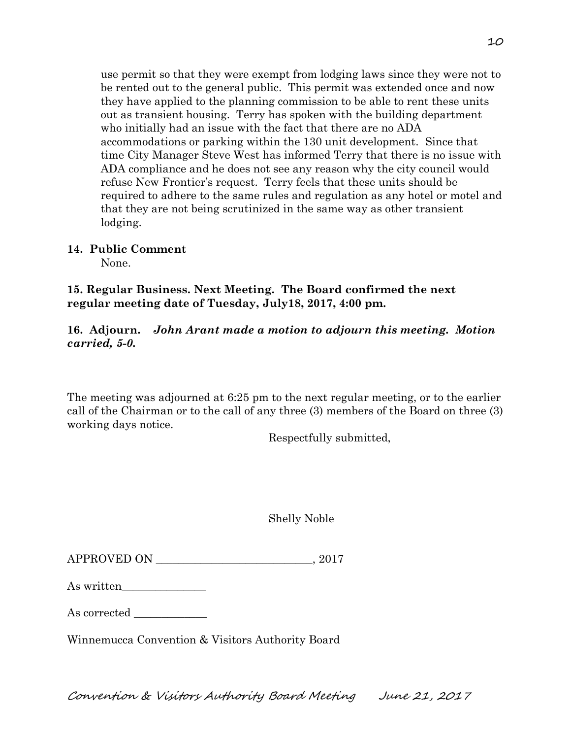use permit so that they were exempt from lodging laws since they were not to be rented out to the general public. This permit was extended once and now they have applied to the planning commission to be able to rent these units out as transient housing. Terry has spoken with the building department who initially had an issue with the fact that there are no ADA accommodations or parking within the 130 unit development. Since that time City Manager Steve West has informed Terry that there is no issue with ADA compliance and he does not see any reason why the city council would refuse New Frontier's request. Terry feels that these units should be required to adhere to the same rules and regulation as any hotel or motel and that they are not being scrutinized in the same way as other transient lodging.

# **14. Public Comment**

None.

**15. Regular Business. Next Meeting. The Board confirmed the next regular meeting date of Tuesday, July18, 2017, 4:00 pm.** 

# **16. Adjourn.** *John Arant made a motion to adjourn this meeting. Motion carried, 5-0.*

The meeting was adjourned at 6:25 pm to the next regular meeting, or to the earlier call of the Chairman or to the call of any three (3) members of the Board on three (3) working days notice.

Respectfully submitted,

Shelly Noble

APPROVED ON  $.2017$ 

As written\_\_\_\_\_\_\_\_\_\_\_\_\_\_\_

As corrected

Winnemucca Convention & Visitors Authority Board

Convention & Visitors Authority Board Meeting June 21, 2017